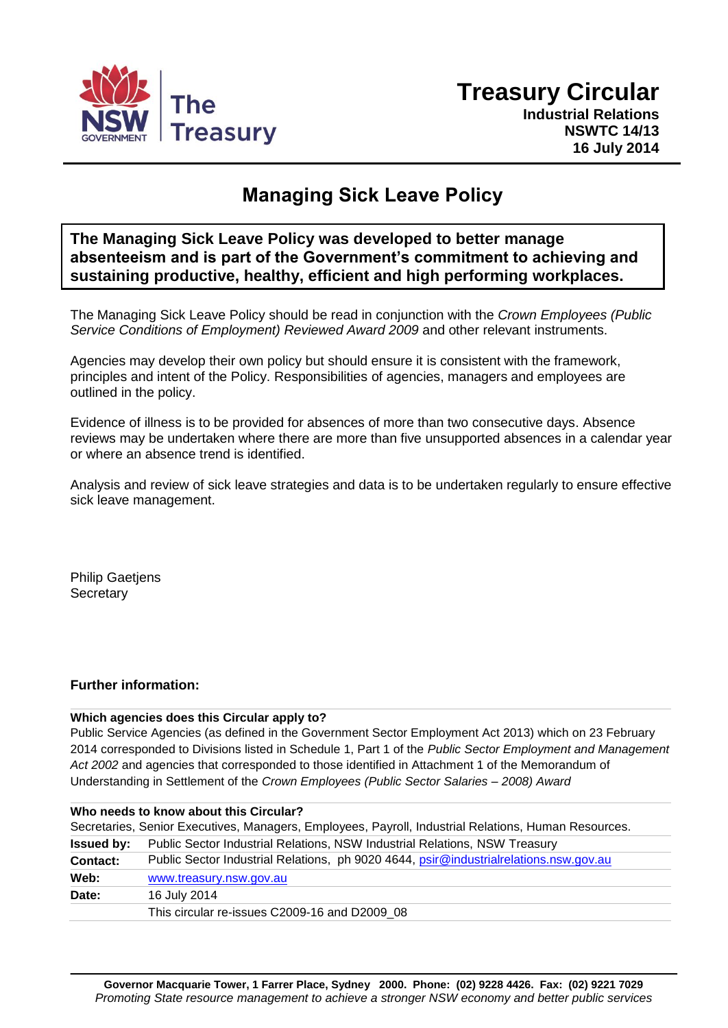

# **Managing Sick Leave Policy**

**The Managing Sick Leave Policy was developed to better manage absenteeism and is part of the Government's commitment to achieving and sustaining productive, healthy, efficient and high performing workplaces.**

The Managing Sick Leave Policy should be read in conjunction with the *Crown Employees (Public Service Conditions of Employment) Reviewed Award 2009* and other relevant instruments.

Agencies may develop their own policy but should ensure it is consistent with the framework, principles and intent of the Policy. Responsibilities of agencies, managers and employees are outlined in the policy.

Evidence of illness is to be provided for absences of more than two consecutive days. Absence reviews may be undertaken where there are more than five unsupported absences in a calendar year or where an absence trend is identified.

Analysis and review of sick leave strategies and data is to be undertaken regularly to ensure effective sick leave management.

Philip Gaetjens **Secretary** 

# **Further information:**

## **Which agencies does this Circular apply to?**

Public Service Agencies (as defined in the Government Sector Employment Act 2013) which on 23 February 2014 corresponded to Divisions listed in Schedule 1, Part 1 of the *Public Sector Employment and Management Act 2002* and agencies that corresponded to those identified in Attachment 1 of the Memorandum of Understanding in Settlement of the *Crown Employees (Public Sector Salaries – 2008) Award*

| Who needs to know about this Circular? |                                                                                                      |
|----------------------------------------|------------------------------------------------------------------------------------------------------|
|                                        | Secretaries, Senior Executives, Managers, Employees, Payroll, Industrial Relations, Human Resources. |
| <b>Issued by:</b>                      | Public Sector Industrial Relations, NSW Industrial Relations, NSW Treasury                           |
| Contact:                               | Public Sector Industrial Relations, ph 9020 4644, psir@industrialrelations.nsw.gov.au                |
| Web:                                   | www.treasury.nsw.gov.au                                                                              |
| Date:                                  | 16 July 2014                                                                                         |
|                                        | This circular re-issues C2009-16 and D2009 08                                                        |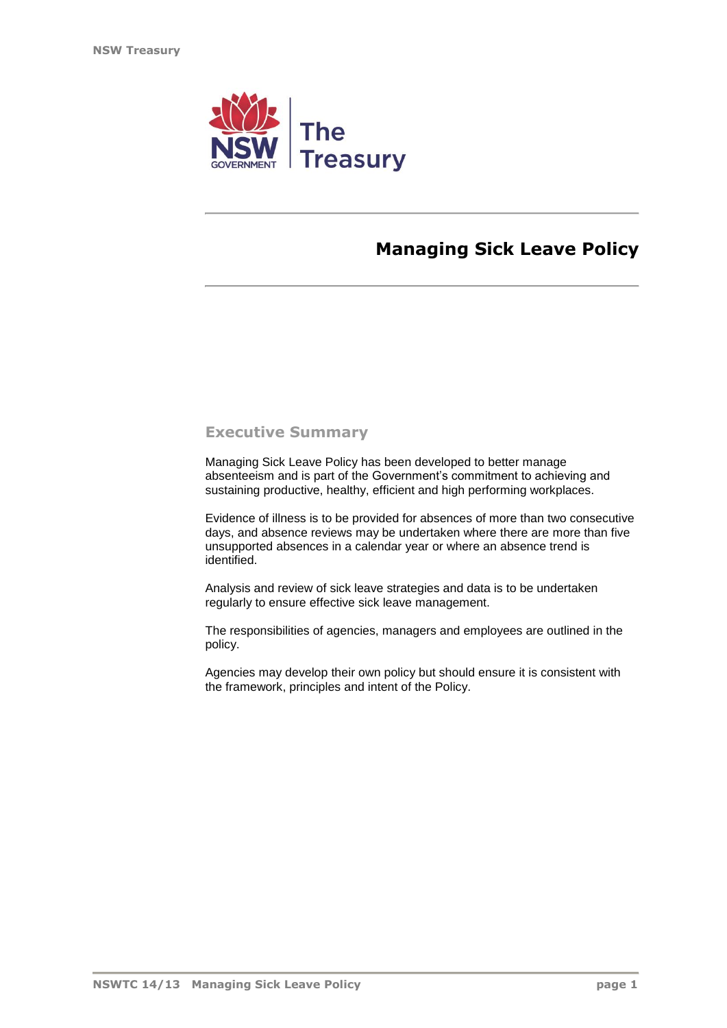

# **Managing Sick Leave Policy**

# **Executive Summary**

Managing Sick Leave Policy has been developed to better manage absenteeism and is part of the Government's commitment to achieving and sustaining productive, healthy, efficient and high performing workplaces.

Evidence of illness is to be provided for absences of more than two consecutive days, and absence reviews may be undertaken where there are more than five unsupported absences in a calendar year or where an absence trend is identified.

Analysis and review of sick leave strategies and data is to be undertaken regularly to ensure effective sick leave management.

The responsibilities of agencies, managers and employees are outlined in the policy.

Agencies may develop their own policy but should ensure it is consistent with the framework, principles and intent of the Policy.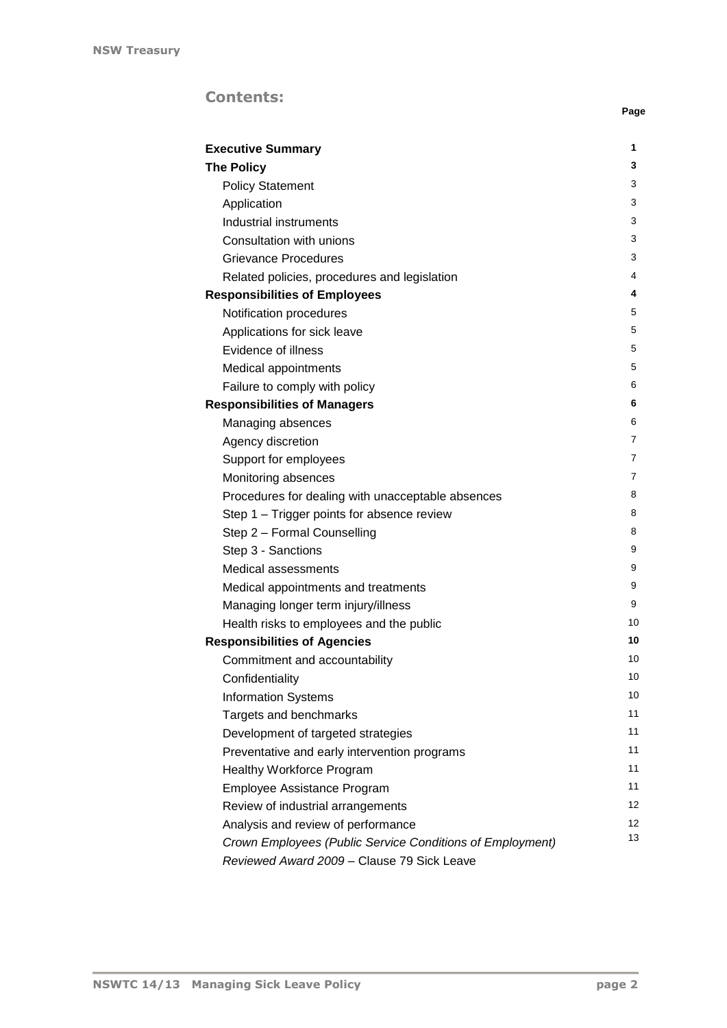# **Contents:**

| <b>Executive Summary</b>                                  | 1  |
|-----------------------------------------------------------|----|
| <b>The Policy</b>                                         | 3  |
| <b>Policy Statement</b>                                   | 3  |
| Application                                               | 3  |
| Industrial instruments                                    | 3  |
| Consultation with unions                                  | 3  |
| <b>Grievance Procedures</b>                               | 3  |
| Related policies, procedures and legislation              | 4  |
| <b>Responsibilities of Employees</b>                      | 4  |
| Notification procedures                                   | 5  |
| Applications for sick leave                               | 5  |
| Evidence of illness                                       | 5  |
| Medical appointments                                      | 5  |
| Failure to comply with policy                             | 6  |
| <b>Responsibilities of Managers</b>                       | 6  |
| Managing absences                                         | 6  |
| Agency discretion                                         | 7  |
| Support for employees                                     | 7  |
| Monitoring absences                                       | 7  |
| Procedures for dealing with unacceptable absences         | 8  |
| Step 1 – Trigger points for absence review                | 8  |
| Step 2 - Formal Counselling                               | 8  |
| Step 3 - Sanctions                                        | 9  |
| Medical assessments                                       | 9  |
| Medical appointments and treatments                       | 9  |
| Managing longer term injury/illness                       | 9  |
| Health risks to employees and the public                  | 10 |
| <b>Responsibilities of Agencies</b>                       | 10 |
| Commitment and accountability                             | 10 |
| Confidentiality                                           | 10 |
| <b>Information Systems</b>                                | 10 |
| Targets and benchmarks                                    | 11 |
| Development of targeted strategies                        | 11 |
| Preventative and early intervention programs              | 11 |
| <b>Healthy Workforce Program</b>                          | 11 |
| Employee Assistance Program                               | 11 |
| Review of industrial arrangements                         | 12 |
| Analysis and review of performance                        | 12 |
| Crown Employees (Public Service Conditions of Employment) | 13 |
| Reviewed Award 2009 - Clause 79 Sick Leave                |    |

**Page**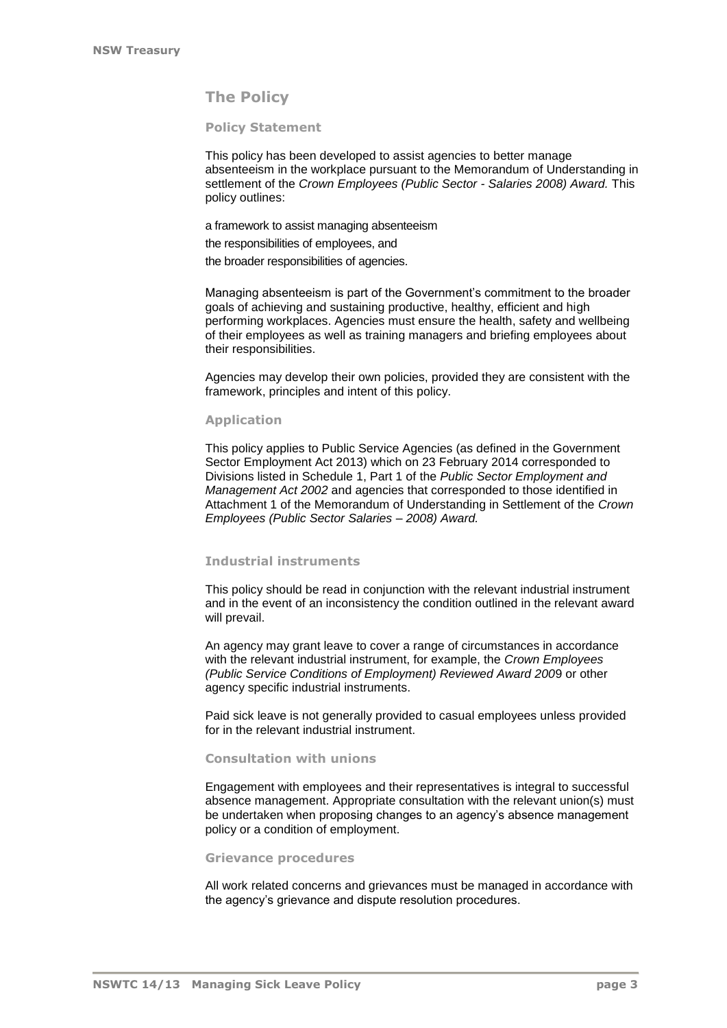# **The Policy**

### **Policy Statement**

This policy has been developed to assist agencies to better manage absenteeism in the workplace pursuant to the Memorandum of Understanding in settlement of the *Crown Employees (Public Sector - Salaries 2008) Award.* This policy outlines:

a framework to assist managing absenteeism

the responsibilities of employees, and

the broader responsibilities of agencies.

Managing absenteeism is part of the Government's commitment to the broader goals of achieving and sustaining productive, healthy, efficient and high performing workplaces. Agencies must ensure the health, safety and wellbeing of their employees as well as training managers and briefing employees about their responsibilities.

Agencies may develop their own policies, provided they are consistent with the framework, principles and intent of this policy.

#### **Application**

This policy applies to Public Service Agencies (as defined in the Government Sector Employment Act 2013) which on 23 February 2014 corresponded to Divisions listed in Schedule 1, Part 1 of the *Public Sector Employment and Management Act 2002* and agencies that corresponded to those identified in Attachment 1 of the Memorandum of Understanding in Settlement of the *Crown Employees (Public Sector Salaries – 2008) Award.*

### **Industrial instruments**

This policy should be read in conjunction with the relevant industrial instrument and in the event of an inconsistency the condition outlined in the relevant award will prevail.

An agency may grant leave to cover a range of circumstances in accordance with the relevant industrial instrument, for example, the *Crown Employees (Public Service Conditions of Employment) Reviewed Award 200*9 or other agency specific industrial instruments.

Paid sick leave is not generally provided to casual employees unless provided for in the relevant industrial instrument.

### **Consultation with unions**

Engagement with employees and their representatives is integral to successful absence management. Appropriate consultation with the relevant union(s) must be undertaken when proposing changes to an agency's absence management policy or a condition of employment.

#### **Grievance procedures**

All work related concerns and grievances must be managed in accordance with the agency's grievance and dispute resolution procedures.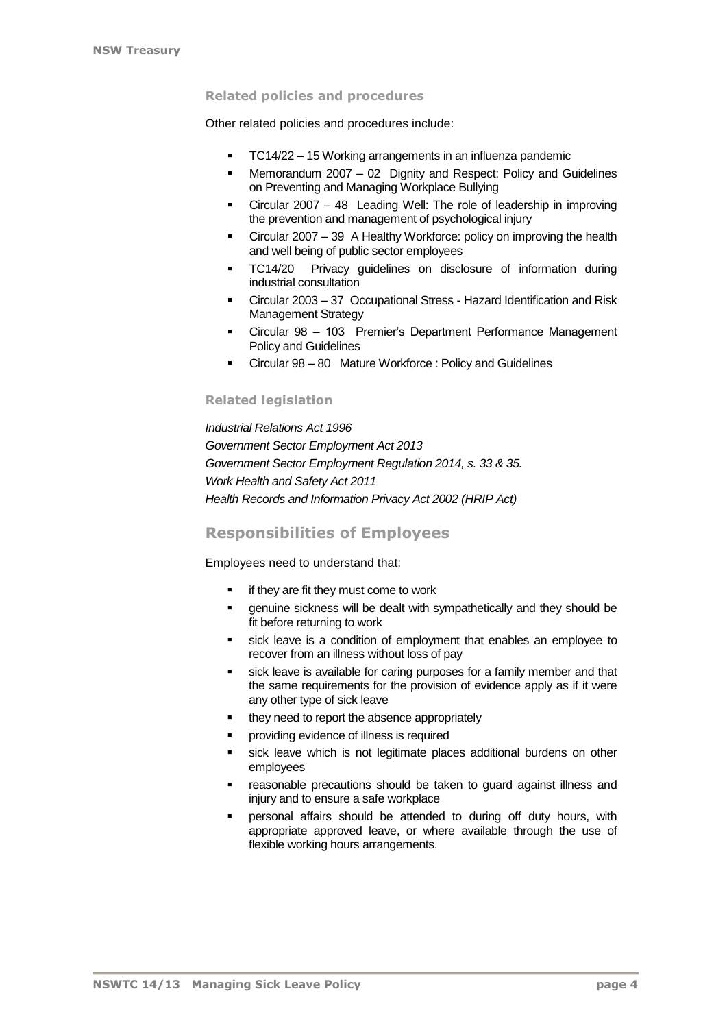## **Related policies and procedures**

Other related policies and procedures include:

- TC14/22 [15 Working arrangements in an influenza pandemic](http://www.dpc.nsw.gov.au/publications/memos_and_circulars/ministerial_memoranda/2007/m2007-15_working_arrangements_in_an_influenza_pandemic)
- Memorandum 2007 [02 Dignity and Respect: Policy and Guidelines](http://www.dpc.nsw.gov.au/publications/memos_and_circulars/ministerial_memoranda/2007/m2007-02)  [on Preventing and Managing Workplace Bullying](http://www.dpc.nsw.gov.au/publications/memos_and_circulars/ministerial_memoranda/2007/m2007-02)
- Circular 2007 [48 Leading Well: The role of leadership in improving](http://www.dpc.nsw.gov.au/publications/memos_and_circulars/circulars/2007/c2007-48_leading_well_the_role_of_leadership_in_improving_the_prevention_and_management_of_psychological_injury)  [the prevention and management of psychological injury](http://www.dpc.nsw.gov.au/publications/memos_and_circulars/circulars/2007/c2007-48_leading_well_the_role_of_leadership_in_improving_the_prevention_and_management_of_psychological_injury)
- Circular 2007 [39 A Healthy Workforce: policy on improving the health](http://www.dpc.nsw.gov.au/publications/memos_and_circulars/circulars/2007/c2007-39) [and well being of public sector employees](http://www.dpc.nsw.gov.au/publications/memos_and_circulars/circulars/2007/c2007-39)
- **TC14/20** Privacy guidelines on disclosure of information during [industrial consultation](http://www.dpc.nsw.gov.au/publications/memos_and_circulars/circulars/2007/c2007-27)
- Circular 2003 37 Occupational Stress [Hazard Identification and Risk](http://www.dpc.nsw.gov.au/publications/memos_and_circulars/circulars/2003/c2003-37)  [Management Strategy](http://www.dpc.nsw.gov.au/publications/memos_and_circulars/circulars/2003/c2003-37)
- Circular 98 [103 Premier's Department Performance Management](http://www.dpc.nsw.gov.au/publications/memos_and_circulars/circulars/1998/c1998-103)  [Policy and Guidelines](http://www.dpc.nsw.gov.au/publications/memos_and_circulars/circulars/1998/c1998-103)
- Circular 98 [80 Mature Workforce : Policy and Guidelines](http://www.dpc.nsw.gov.au/__data/assets/pdf_file/0018/1566/MatureWorkforce.pdf)

## **Related legislation**

*Industrial Relations Act 1996 Government Sector Employment Act 2013 Government Sector Employment Regulation 2014, s. 33 & 35. Work Health and Safety Act 2011 Health Records and Information Privacy Act 2002 (HRIP Act)*

## **Responsibilities of Employees**

Employees need to understand that:

- **if they are fit they must come to work**
- genuine sickness will be dealt with sympathetically and they should be fit before returning to work
- sick leave is a condition of employment that enables an employee to recover from an illness without loss of pay
- sick leave is available for caring purposes for a family member and that the same requirements for the provision of evidence apply as if it were any other type of sick leave
- they need to report the absence appropriately
- providing evidence of illness is required
- sick leave which is not legitimate places additional burdens on other employees
- reasonable precautions should be taken to guard against illness and injury and to ensure a safe workplace
- personal affairs should be attended to during off duty hours, with appropriate approved leave, or where available through the use of flexible working hours arrangements.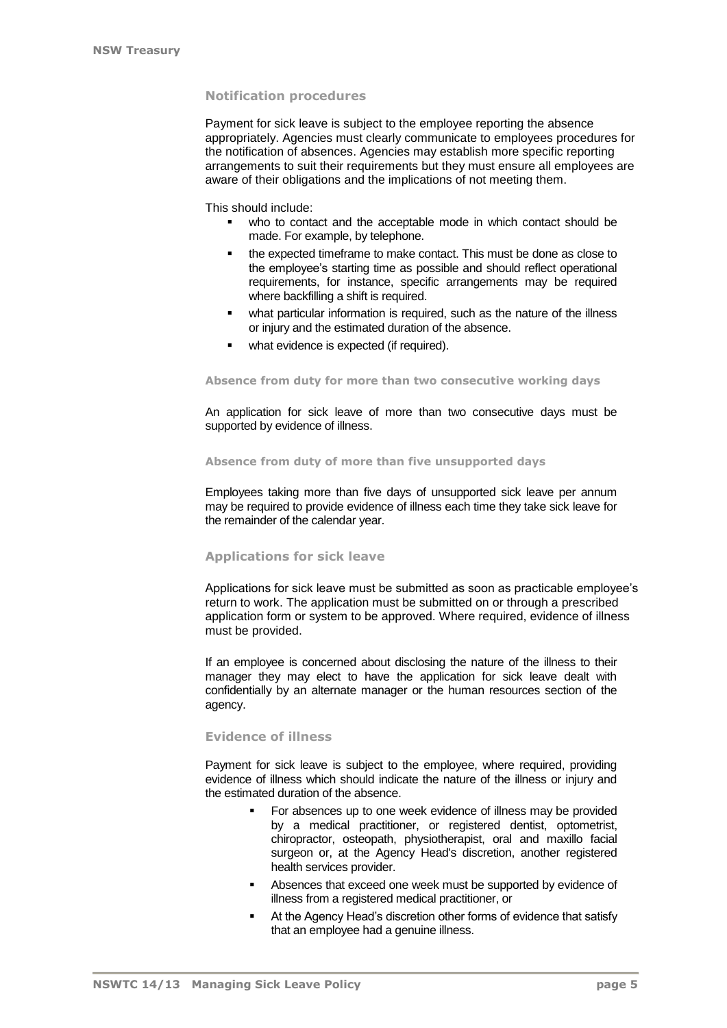### **Notification procedures**

Payment for sick leave is subject to the employee reporting the absence appropriately. Agencies must clearly communicate to employees procedures for the notification of absences. Agencies may establish more specific reporting arrangements to suit their requirements but they must ensure all employees are aware of their obligations and the implications of not meeting them.

This should include:

- who to contact and the acceptable mode in which contact should be made. For example, by telephone.
- the expected timeframe to make contact. This must be done as close to the employee's starting time as possible and should reflect operational requirements, for instance, specific arrangements may be required where backfilling a shift is required.
- what particular information is required, such as the nature of the illness or injury and the estimated duration of the absence.
- **•** what evidence is expected (if required).

#### **Absence from duty for more than two consecutive working days**

An application for sick leave of more than two consecutive days must be supported by evidence of illness.

#### **Absence from duty of more than five unsupported days**

Employees taking more than five days of unsupported sick leave per annum may be required to provide evidence of illness each time they take sick leave for the remainder of the calendar year.

### **Applications for sick leave**

Applications for sick leave must be submitted as soon as practicable employee's return to work. The application must be submitted on or through a prescribed application form or system to be approved. Where required, evidence of illness must be provided.

If an employee is concerned about disclosing the nature of the illness to their manager they may elect to have the application for sick leave dealt with confidentially by an alternate manager or the human resources section of the agency.

#### **Evidence of illness**

Payment for sick leave is subject to the employee, where required, providing evidence of illness which should indicate the nature of the illness or injury and the estimated duration of the absence.

- For absences up to one week evidence of illness may be provided by a medical practitioner, or registered dentist, optometrist, chiropractor, osteopath, physiotherapist, oral and maxillo facial surgeon or, at the Agency Head's discretion, another registered health services provider.
- Absences that exceed one week must be supported by evidence of illness from a registered medical practitioner, or
- At the Agency Head's discretion other forms of evidence that satisfy that an employee had a genuine illness.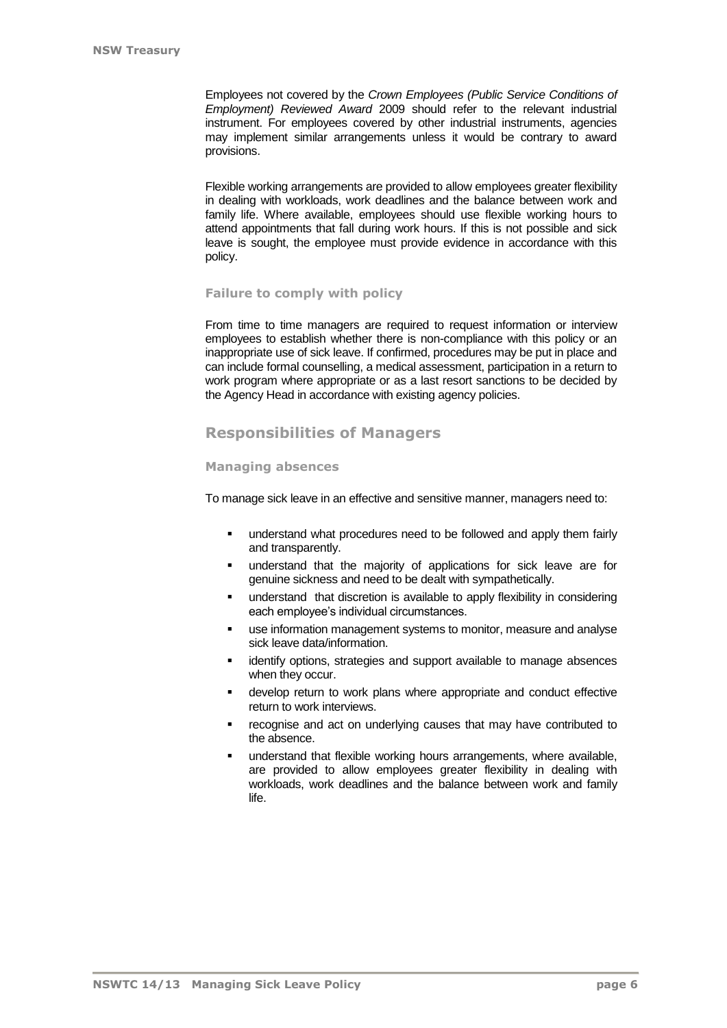Employees not covered by the *Crown Employees (Public Service Conditions of Employment) Reviewed Award* 2009 should refer to the relevant industrial instrument. For employees covered by other industrial instruments, agencies may implement similar arrangements unless it would be contrary to award provisions.

Flexible working arrangements are provided to allow employees greater flexibility in dealing with workloads, work deadlines and the balance between work and family life. Where available, employees should use flexible working hours to attend appointments that fall during work hours. If this is not possible and sick leave is sought, the employee must provide evidence in accordance with this policy.

## **Failure to comply with policy**

From time to time managers are required to request information or interview employees to establish whether there is non-compliance with this policy or an inappropriate use of sick leave. If confirmed, procedures may be put in place and can include formal counselling, a medical assessment, participation in a return to work program where appropriate or as a last resort sanctions to be decided by the Agency Head in accordance with existing agency policies.

# **Responsibilities of Managers**

## **Managing absences**

To manage sick leave in an effective and sensitive manner, managers need to:

- **understand what procedures need to be followed and apply them fairly** and transparently.
- understand that the majority of applications for sick leave are for genuine sickness and need to be dealt with sympathetically.
- understand that discretion is available to apply flexibility in considering each employee's individual circumstances.
- use information management systems to monitor, measure and analyse sick leave data/information.
- **identify options, strategies and support available to manage absences** when they occur.
- develop return to work plans where appropriate and conduct effective return to work interviews.
- recognise and act on underlying causes that may have contributed to the absence.
- understand that flexible working hours arrangements, where available, are provided to allow employees greater flexibility in dealing with workloads, work deadlines and the balance between work and family life.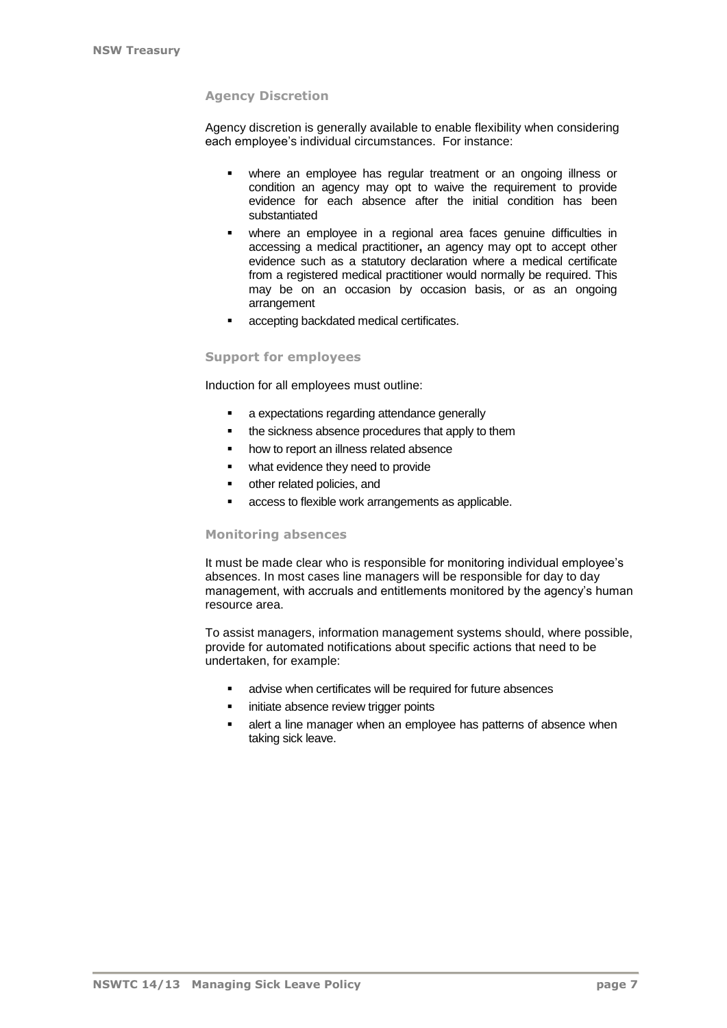## **Agency Discretion**

Agency discretion is generally available to enable flexibility when considering each employee's individual circumstances. For instance:

- where an employee has regular treatment or an ongoing illness or condition an agency may opt to waive the requirement to provide evidence for each absence after the initial condition has been substantiated
- where an employee in a regional area faces genuine difficulties in accessing a medical practitioner**,** an agency may opt to accept other evidence such as a statutory declaration where a medical certificate from a registered medical practitioner would normally be required. This may be on an occasion by occasion basis, or as an ongoing arrangement
- accepting backdated medical certificates.

## **Support for employees**

Induction for all employees must outline:

- **a** expectations regarding attendance generally
- the sickness absence procedures that apply to them
- **•** how to report an illness related absence
- **•** what evidence they need to provide
- other related policies, and
- access to flexible work arrangements as applicable.

### **Monitoring absences**

It must be made clear who is responsible for monitoring individual employee's absences. In most cases line managers will be responsible for day to day management, with accruals and entitlements monitored by the agency's human resource area.

To assist managers, information management systems should, where possible, provide for automated notifications about specific actions that need to be undertaken, for example:

- **EXECT** advise when certificates will be required for future absences
- **initiate absence review trigger points**
- alert a line manager when an employee has patterns of absence when taking sick leave.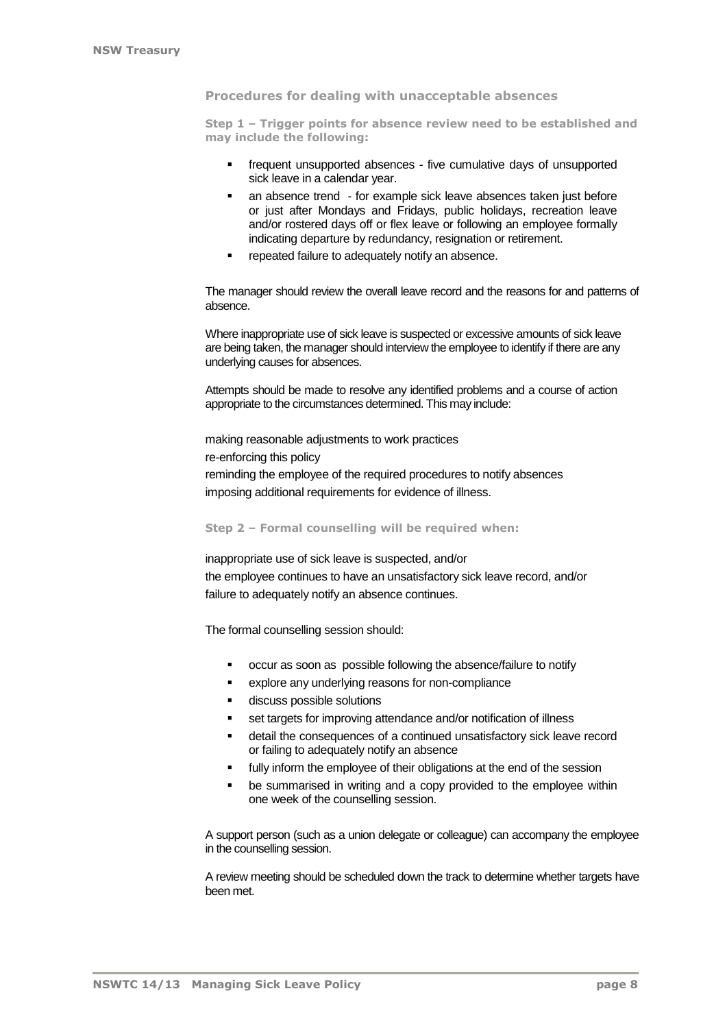### **Procedures for dealing with unacceptable absences**

**Step 1 – Trigger points for absence review need to be established and may include the following:**

- frequent unsupported absences five cumulative days of unsupported sick leave in a calendar year.
- an absence trend for example sick leave absences taken just before or just after Mondays and Fridays, public holidays, recreation leave and/or rostered days off or flex leave or following an employee formally indicating departure by redundancy, resignation or retirement.
- repeated failure to adequately notify an absence.

The manager should review the overall leave record and the reasons for and patterns of absence.

Where inappropriate use of sick leave is suspected or excessive amounts of sick leave are being taken, the manager should interview the employee to identify if there are any underlying causes for absences.

Attempts should be made to resolve any identified problems and a course of action appropriate to the circumstances determined. This may include:

making reasonable adjustments to work practices re-enforcing this policy reminding the employee of the required procedures to notify absences imposing additional requirements for evidence of illness.

**Step 2 – Formal counselling will be required when:**

inappropriate use of sick leave is suspected, and/or the employee continues to have an unsatisfactory sick leave record, and/or failure to adequately notify an absence continues.

The formal counselling session should:

- occur as soon as possible following the absence/failure to notify
- explore any underlying reasons for non-compliance
- discuss possible solutions
- set targets for improving attendance and/or notification of illness
- detail the consequences of a continued unsatisfactory sick leave record or failing to adequately notify an absence
- **fully inform the employee of their obligations at the end of the session**
- **•** be summarised in writing and a copy provided to the employee within one week of the counselling session.

A support person (such as a union delegate or colleague) can accompany the employee in the counselling session.

A review meeting should be scheduled down the track to determine whether targets have been met.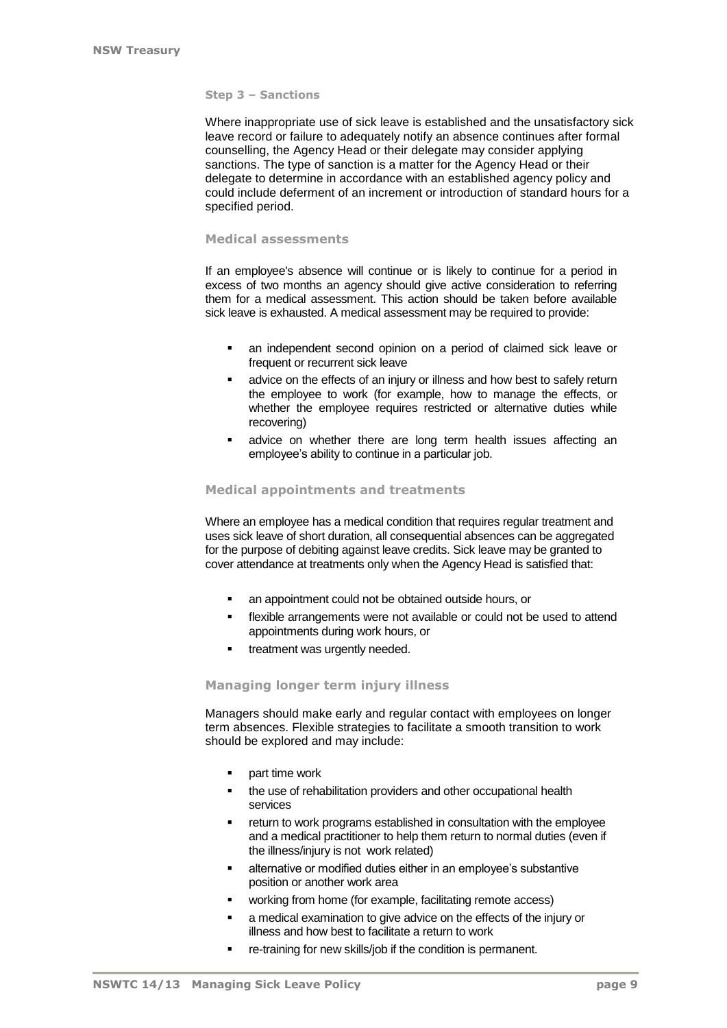#### **Step 3 – Sanctions**

Where inappropriate use of sick leave is established and the unsatisfactory sick leave record or failure to adequately notify an absence continues after formal counselling, the Agency Head or their delegate may consider applying sanctions. The type of sanction is a matter for the Agency Head or their delegate to determine in accordance with an established agency policy and could include deferment of an increment or introduction of standard hours for a specified period.

## **Medical assessments**

If an employee's absence will continue or is likely to continue for a period in excess of two months an agency should give active consideration to referring them for a medical assessment. This action should be taken before available sick leave is exhausted. A medical assessment may be required to provide:

- an independent second opinion on a period of claimed sick leave or frequent or recurrent sick leave
- **advice on the effects of an injury or illness and how best to safely return** the employee to work (for example, how to manage the effects, or whether the employee requires restricted or alternative duties while recovering)
- advice on whether there are long term health issues affecting an employee's ability to continue in a particular job.

### **Medical appointments and treatments**

Where an employee has a medical condition that requires regular treatment and uses sick leave of short duration, all consequential absences can be aggregated for the purpose of debiting against leave credits. Sick leave may be granted to cover attendance at treatments only when the Agency Head is satisfied that:

- an appointment could not be obtained outside hours, or
- flexible arrangements were not available or could not be used to attend appointments during work hours, or
- **•** treatment was urgently needed.

#### **Managing longer term injury illness**

Managers should make early and regular contact with employees on longer term absences. Flexible strategies to facilitate a smooth transition to work should be explored and may include:

- **part time work**
- **the use of rehabilitation providers and other occupational health** services
- **FX** return to work programs established in consultation with the employee and a medical practitioner to help them return to normal duties (even if the illness/injury is not work related)
- **EXECT** alternative or modified duties either in an employee's substantive position or another work area
- working from home (for example, facilitating remote access)
- **a** medical examination to give advice on the effects of the injury or illness and how best to facilitate a return to work
- re-training for new skills/job if the condition is permanent.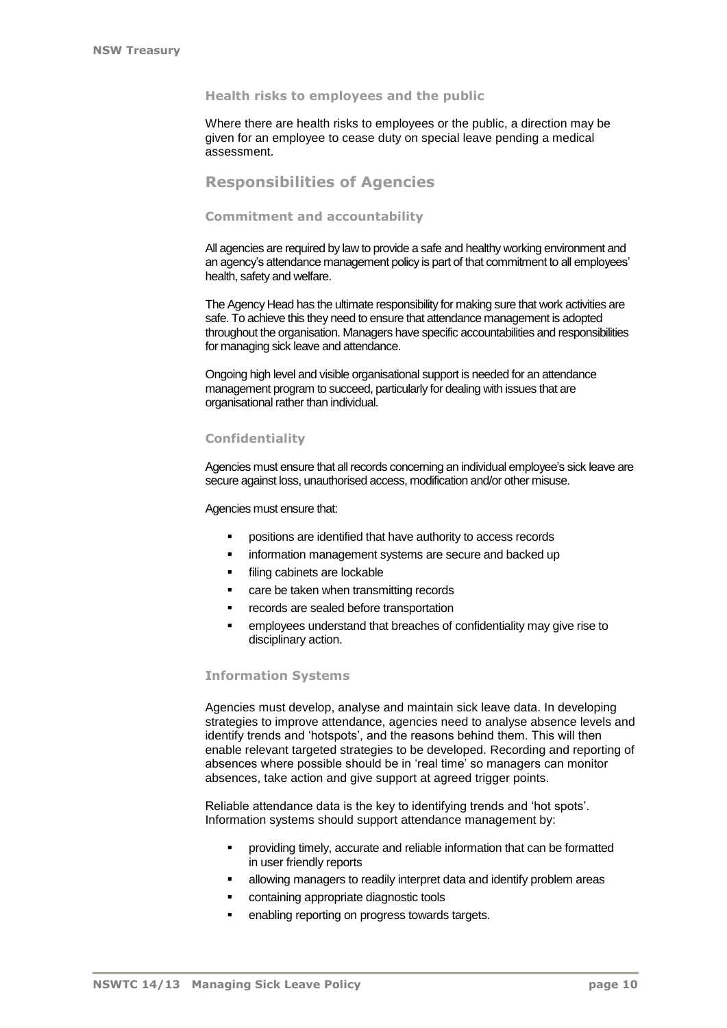### **Health risks to employees and the public**

Where there are health risks to employees or the public, a direction may be given for an employee to cease duty on special leave pending a medical assessment.

## **Responsibilities of Agencies**

#### **Commitment and accountability**

All agencies are required by law to provide a safe and healthy working environment and an agency's attendance management policy is part of that commitment to all employees' health, safety and welfare.

The Agency Head has the ultimate responsibility for making sure that work activities are safe. To achieve this they need to ensure that attendance management is adopted throughout the organisation. Managers have specific accountabilities and responsibilities for managing sick leave and attendance.

Ongoing high level and visible organisational support is needed for an attendance management program to succeed, particularly for dealing with issues that are organisational rather than individual.

## **Confidentiality**

Agencies must ensure that all records concerning an individual employee's sick leave are secure against loss, unauthorised access, modification and/or other misuse.

Agencies must ensure that:

- positions are identified that have authority to access records
- **information management systems are secure and backed up**
- **filing cabinets are lockable**
- care be taken when transmitting records
- **•** records are sealed before transportation
- employees understand that breaches of confidentiality may give rise to disciplinary action.

## **Information Systems**

Agencies must develop, analyse and maintain sick leave data. In developing strategies to improve attendance, agencies need to analyse absence levels and identify trends and 'hotspots', and the reasons behind them. This will then enable relevant targeted strategies to be developed. Recording and reporting of absences where possible should be in 'real time' so managers can monitor absences, take action and give support at agreed trigger points.

Reliable attendance data is the key to identifying trends and 'hot spots'. Information systems should support attendance management by:

- providing timely, accurate and reliable information that can be formatted in user friendly reports
- **EXEDEE Allowing managers to readily interpret data and identify problem areas**
- **•** containing appropriate diagnostic tools
- **EXECTE FIGHTS** enabling reporting on progress towards targets.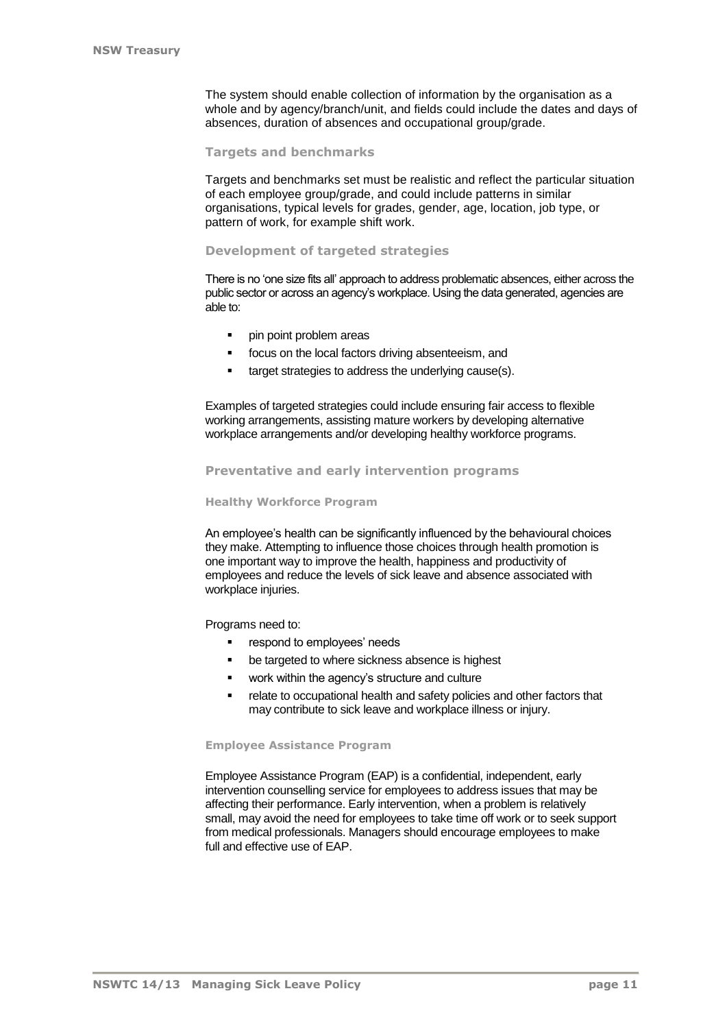The system should enable collection of information by the organisation as a whole and by agency/branch/unit, and fields could include the dates and days of absences, duration of absences and occupational group/grade.

#### **Targets and benchmarks**

Targets and benchmarks set must be realistic and reflect the particular situation of each employee group/grade, and could include patterns in similar organisations, typical levels for grades, gender, age, location, job type, or pattern of work, for example shift work.

#### **Development of targeted strategies**

There is no 'one size fits all' approach to address problematic absences, either across the public sector or across an agency's workplace. Using the data generated, agencies are able to:

- **pin point problem areas**
- focus on the local factors driving absenteeism, and
- **target strategies to address the underlying cause(s).**

Examples of targeted strategies could include ensuring fair access to flexible working arrangements, assisting mature workers by developing alternative workplace arrangements and/or developing healthy workforce programs.

#### **Preventative and early intervention programs**

#### **Healthy Workforce Program**

An employee's health can be significantly influenced by the behavioural choices they make. Attempting to influence those choices through health promotion is one important way to improve the health, happiness and productivity of employees and reduce the levels of sick leave and absence associated with workplace injuries.

Programs need to:

- **•** respond to employees' needs
- **•** be targeted to where sickness absence is highest
- **work within the agency's structure and culture**
- relate to occupational health and safety policies and other factors that may contribute to sick leave and workplace illness or injury.

#### **Employee Assistance Program**

Employee Assistance Program (EAP) is a confidential, independent, early intervention counselling service for employees to address issues that may be affecting their performance. Early intervention, when a problem is relatively small, may avoid the need for employees to take time off work or to seek support from medical professionals. Managers should encourage employees to make full and effective use of EAP.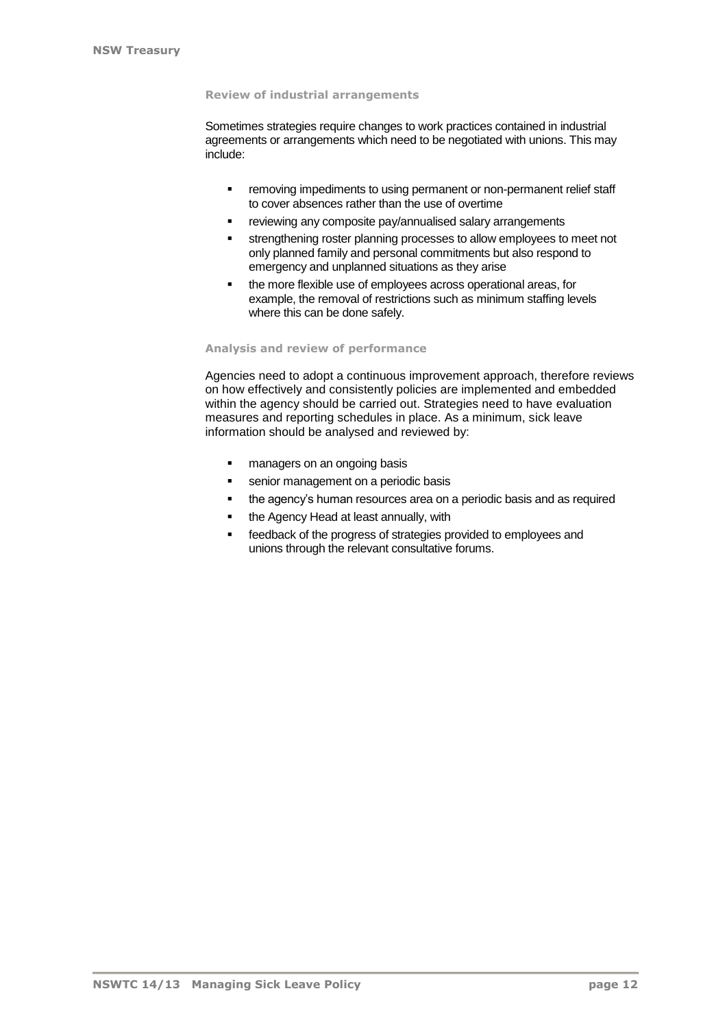#### **Review of industrial arrangements**

Sometimes strategies require changes to work practices contained in industrial agreements or arrangements which need to be negotiated with unions. This may include:

- **•** removing impediments to using permanent or non-permanent relief staff to cover absences rather than the use of overtime
- **F** reviewing any composite pay/annualised salary arrangements
- **strengthening roster planning processes to allow employees to meet not** only planned family and personal commitments but also respond to emergency and unplanned situations as they arise
- the more flexible use of employees across operational areas, for example, the removal of restrictions such as minimum staffing levels where this can be done safely.

### **Analysis and review of performance**

Agencies need to adopt a continuous improvement approach, therefore reviews on how effectively and consistently policies are implemented and embedded within the agency should be carried out. Strategies need to have evaluation measures and reporting schedules in place. As a minimum, sick leave information should be analysed and reviewed by:

- **n** managers on an ongoing basis
- **senior management on a periodic basis**
- the agency's human resources area on a periodic basis and as required
- the Agency Head at least annually, with
- **Facedback of the progress of strategies provided to employees and** unions through the relevant consultative forums.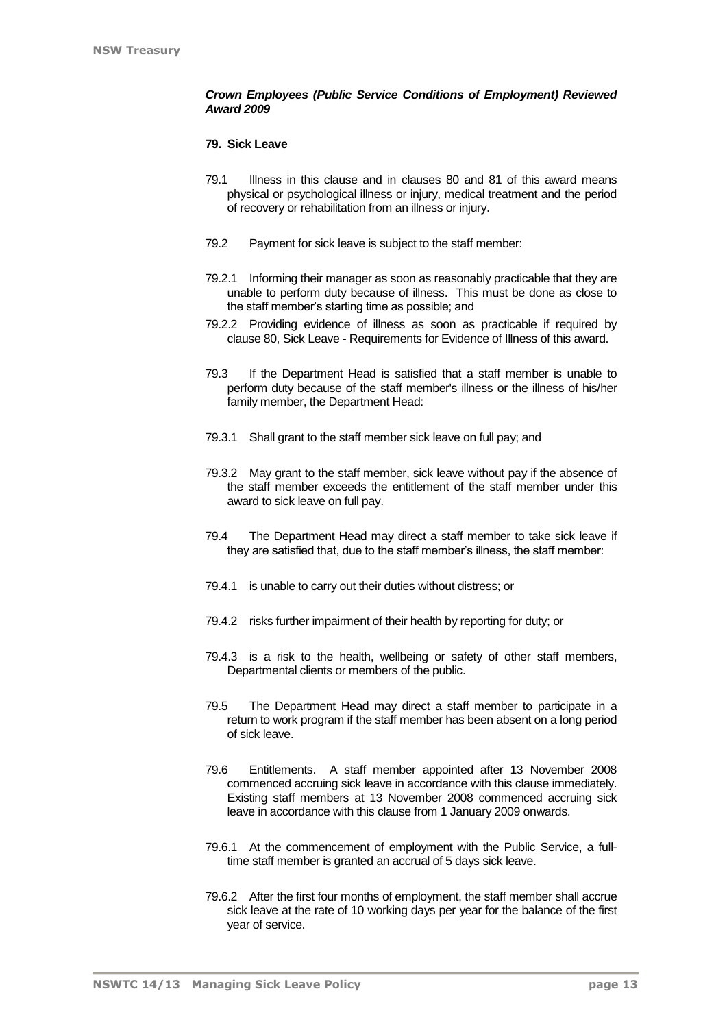## *Crown Employees (Public Service Conditions of Employment) Reviewed Award 2009*

## **79. Sick Leave**

- 79.1 Illness in this clause and in clauses 80 and 81 of this award means physical or psychological illness or injury, medical treatment and the period of recovery or rehabilitation from an illness or injury.
- 79.2 Payment for sick leave is subject to the staff member:
- 79.2.1 Informing their manager as soon as reasonably practicable that they are unable to perform duty because of illness. This must be done as close to the staff member's starting time as possible; and
- 79.2.2 Providing evidence of illness as soon as practicable if required by clause 80, Sick Leave - Requirements for Evidence of Illness of this award.
- 79.3 If the Department Head is satisfied that a staff member is unable to perform duty because of the staff member's illness or the illness of his/her family member, the Department Head:
- 79.3.1 Shall grant to the staff member sick leave on full pay; and
- 79.3.2 May grant to the staff member, sick leave without pay if the absence of the staff member exceeds the entitlement of the staff member under this award to sick leave on full pay.
- 79.4 The Department Head may direct a staff member to take sick leave if they are satisfied that, due to the staff member's illness, the staff member:
- 79.4.1 is unable to carry out their duties without distress; or
- 79.4.2 risks further impairment of their health by reporting for duty; or
- 79.4.3 is a risk to the health, wellbeing or safety of other staff members, Departmental clients or members of the public.
- 79.5 The Department Head may direct a staff member to participate in a return to work program if the staff member has been absent on a long period of sick leave.
- 79.6 Entitlements. A staff member appointed after 13 November 2008 commenced accruing sick leave in accordance with this clause immediately. Existing staff members at 13 November 2008 commenced accruing sick leave in accordance with this clause from 1 January 2009 onwards.
- 79.6.1 At the commencement of employment with the Public Service, a fulltime staff member is granted an accrual of 5 days sick leave.
- 79.6.2 After the first four months of employment, the staff member shall accrue sick leave at the rate of 10 working days per year for the balance of the first year of service.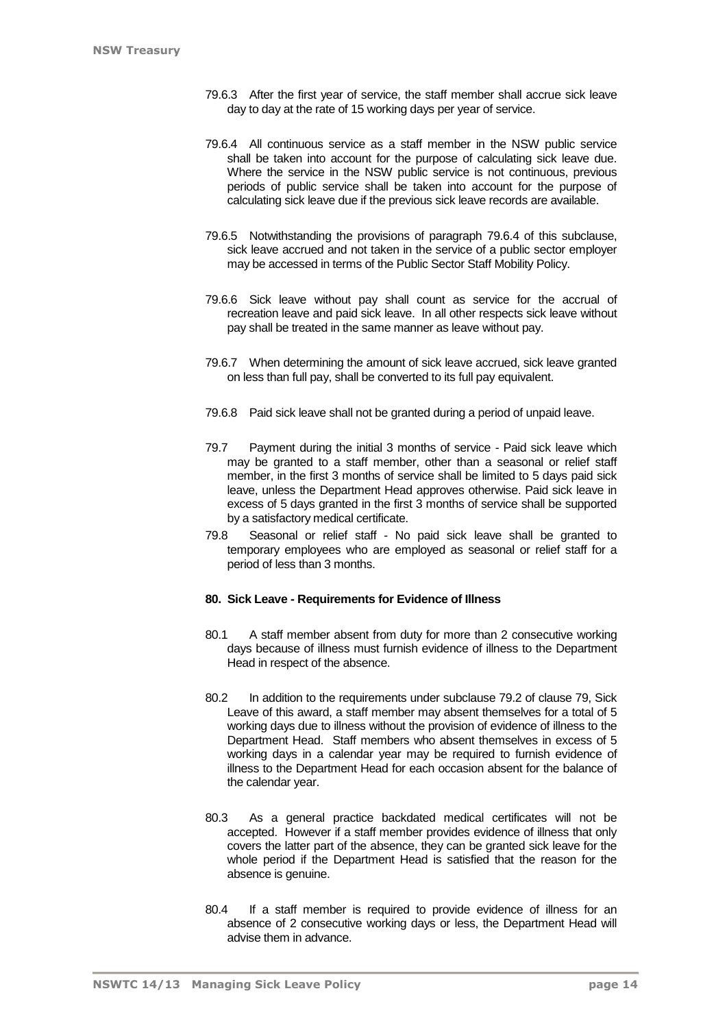- 79.6.3 After the first year of service, the staff member shall accrue sick leave day to day at the rate of 15 working days per year of service.
- 79.6.4 All continuous service as a staff member in the NSW public service shall be taken into account for the purpose of calculating sick leave due. Where the service in the NSW public service is not continuous, previous periods of public service shall be taken into account for the purpose of calculating sick leave due if the previous sick leave records are available.
- 79.6.5 Notwithstanding the provisions of paragraph 79.6.4 of this subclause, sick leave accrued and not taken in the service of a public sector employer may be accessed in terms of the Public Sector Staff Mobility Policy.
- 79.6.6 Sick leave without pay shall count as service for the accrual of recreation leave and paid sick leave. In all other respects sick leave without pay shall be treated in the same manner as leave without pay.
- 79.6.7 When determining the amount of sick leave accrued, sick leave granted on less than full pay, shall be converted to its full pay equivalent.
- 79.6.8 Paid sick leave shall not be granted during a period of unpaid leave.
- 79.7 Payment during the initial 3 months of service Paid sick leave which may be granted to a staff member, other than a seasonal or relief staff member, in the first 3 months of service shall be limited to 5 days paid sick leave, unless the Department Head approves otherwise. Paid sick leave in excess of 5 days granted in the first 3 months of service shall be supported by a satisfactory medical certificate.
- 79.8 Seasonal or relief staff No paid sick leave shall be granted to temporary employees who are employed as seasonal or relief staff for a period of less than 3 months.

## **80. Sick Leave - Requirements for Evidence of Illness**

- 80.1 A staff member absent from duty for more than 2 consecutive working days because of illness must furnish evidence of illness to the Department Head in respect of the absence.
- 80.2 In addition to the requirements under subclause 79.2 of clause 79, Sick Leave of this award, a staff member may absent themselves for a total of 5 working days due to illness without the provision of evidence of illness to the Department Head. Staff members who absent themselves in excess of 5 working days in a calendar year may be required to furnish evidence of illness to the Department Head for each occasion absent for the balance of the calendar year.
- 80.3 As a general practice backdated medical certificates will not be accepted. However if a staff member provides evidence of illness that only covers the latter part of the absence, they can be granted sick leave for the whole period if the Department Head is satisfied that the reason for the absence is genuine.
- 80.4 If a staff member is required to provide evidence of illness for an absence of 2 consecutive working days or less, the Department Head will advise them in advance.